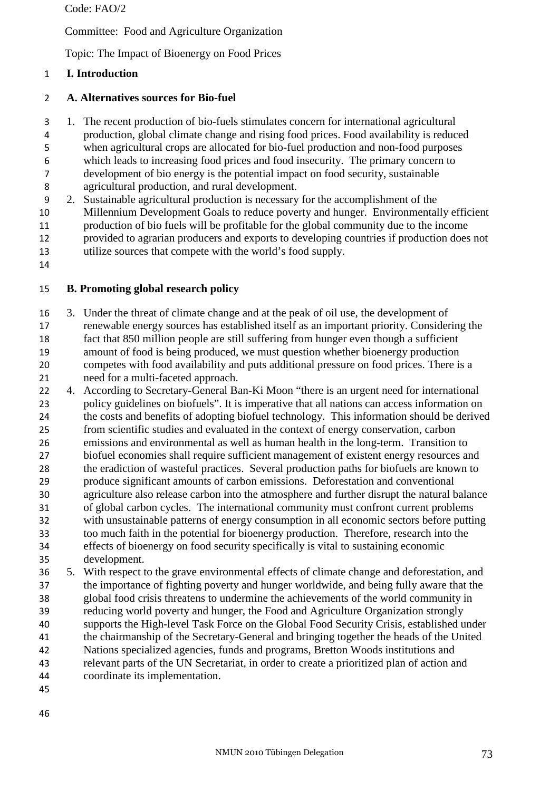Code: FAO/2

Committee: Food and Agriculture Organization

Topic: The Impact of Bioenergy on Food Prices

# **I. Introduction**

# **A. Alternatives sources for Bio-fuel**

1. The recent production of bio-fuels stimulates concern for international agricultural

- production, global climate change and rising food prices. Food availability is reduced
- when agricultural crops are allocated for bio-fuel production and non-food purposes which leads to increasing food prices and food insecurity. The primary concern to
- development of bio energy is the potential impact on food security, sustainable agricultural production, and rural development.
- 2. Sustainable agricultural production is necessary for the accomplishment of the Millennium Development Goals to reduce poverty and hunger. Environmentally efficient production of bio fuels will be profitable for the global community due to the income provided to agrarian producers and exports to developing countries if production does not utilize sources that compete with the world's food supply.
- 

# **B. Promoting global research policy**

- 3. Under the threat of climate change and at the peak of oil use, the development of
- renewable energy sources has established itself as an important priority. Considering the fact that 850 million people are still suffering from hunger even though a sufficient amount of food is being produced, we must question whether bioenergy production competes with food availability and puts additional pressure on food prices. There is a need for a multi-faceted approach.
- 4. According to Secretary-General Ban-Ki Moon "there is an urgent need for international policy guidelines on biofuels". It is imperative that all nations can access information on the costs and benefits of adopting biofuel technology. This information should be derived from scientific studies and evaluated in the context of energy conservation, carbon emissions and environmental as well as human health in the long-term. Transition to biofuel economies shall require sufficient management of existent energy resources and the eradiction of wasteful practices. Several production paths for biofuels are known to produce significant amounts of carbon emissions. Deforestation and conventional agriculture also release carbon into the atmosphere and further disrupt the natural balance of global carbon cycles. The international community must confront current problems with unsustainable patterns of energy consumption in all economic sectors before putting too much faith in the potential for bioenergy production. Therefore, research into the effects of bioenergy on food security specifically is vital to sustaining economic development.
- 5. With respect to the grave environmental effects of climate change and deforestation, and the importance of fighting poverty and hunger worldwide, and being fully aware that the global food crisis threatens to undermine the achievements of the world community in reducing world poverty and hunger, the Food and Agriculture Organization strongly supports the High-level Task Force on the Global Food Security Crisis, established under the chairmanship of the Secretary-General and bringing together the heads of the United Nations specialized agencies, funds and programs, Bretton Woods institutions and relevant parts of the UN Secretariat, in order to create a prioritized plan of action and coordinate its implementation.
-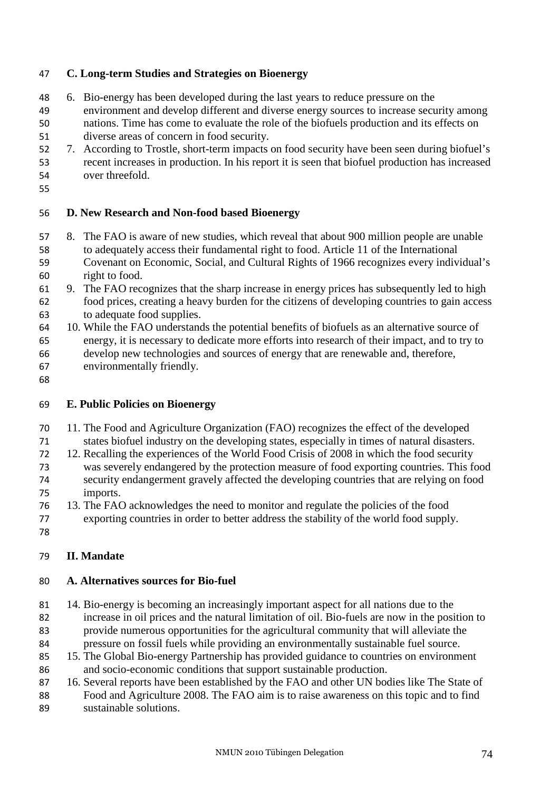### **C. Long-term Studies and Strategies on Bioenergy**

- 6. Bio-energy has been developed during the last years to reduce pressure on the environment and develop different and diverse energy sources to increase security among nations. Time has come to evaluate the role of the biofuels production and its effects on diverse areas of concern in food security.
- 7. According to Trostle, short-term impacts on food security have been seen during biofuel's recent increases in production. In his report it is seen that biofuel production has increased over threefold.
- 

# **D. New Research and Non-food based Bioenergy**

- 8. The FAO is aware of new studies, which reveal that about 900 million people are unable to adequately access their fundamental right to food. Article 11 of the International Covenant on Economic, Social, and Cultural Rights of 1966 recognizes every individual's right to food.
- 9. The FAO recognizes that the sharp increase in energy prices has subsequently led to high food prices, creating a heavy burden for the citizens of developing countries to gain access to adequate food supplies.
- 10. While the FAO understands the potential benefits of biofuels as an alternative source of energy, it is necessary to dedicate more efforts into research of their impact, and to try to develop new technologies and sources of energy that are renewable and, therefore, environmentally friendly.
- 

#### **E. Public Policies on Bioenergy**

- 11. The Food and Agriculture Organization (FAO) recognizes the effect of the developed
- states biofuel industry on the developing states, especially in times of natural disasters.
- 12. Recalling the experiences of the World Food Crisis of 2008 in which the food security was severely endangered by the protection measure of food exporting countries. This food security endangerment gravely affected the developing countries that are relying on food imports.
- 13. The FAO acknowledges the need to monitor and regulate the policies of the food
- exporting countries in order to better address the stability of the world food supply.
- 

#### **II. Mandate**

#### **A. Alternatives sources for Bio-fuel**

- 14. Bio-energy is becoming an increasingly important aspect for all nations due to the increase in oil prices and the natural limitation of oil. Bio-fuels are now in the position to provide numerous opportunities for the agricultural community that will alleviate the pressure on fossil fuels while providing an environmentally sustainable fuel source.
- 15. The Global Bio-energy Partnership has provided guidance to countries on environment and socio-economic conditions that support sustainable production.
- 87 16. Several reports have been established by the FAO and other UN bodies like The State of Food and Agriculture 2008. The FAO aim is to raise awareness on this topic and to find sustainable solutions.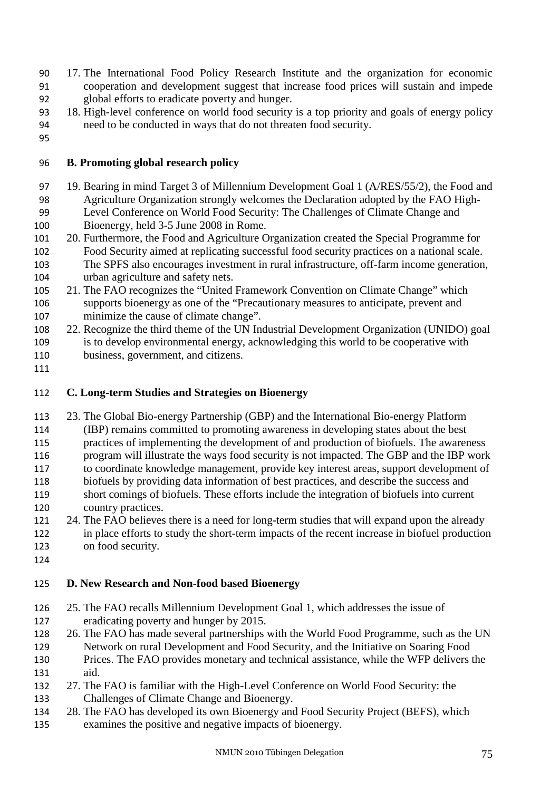- 17. The International Food Policy Research Institute and the organization for economic cooperation and development suggest that increase food prices will sustain and impede global efforts to eradicate poverty and hunger.
- 18. High-level conference on world food security is a top priority and goals of energy policy need to be conducted in ways that do not threaten food security.
- 

### **B. Promoting global research policy**

- 19. Bearing in mind Target 3 of Millennium Development Goal 1 (A/RES/55/2), the Food and Agriculture Organization strongly welcomes the Declaration adopted by the FAO High-Level Conference on World Food Security: The Challenges of Climate Change and
- Bioenergy, held 3-5 June 2008 in Rome.
- 20. Furthermore, the Food and Agriculture Organization created the Special Programme for Food Security aimed at replicating successful food security practices on a national scale. The SPFS also encourages investment in rural infrastructure, off-farm income generation,
- urban agriculture and safety nets.
- 21. The FAO recognizes the "United Framework Convention on Climate Change" which supports bioenergy as one of the "Precautionary measures to anticipate, prevent and minimize the cause of climate change".
- 22. Recognize the third theme of the UN Industrial Development Organization (UNIDO) goal is to develop environmental energy, acknowledging this world to be cooperative with business, government, and citizens.
- 

# **C. Long-term Studies and Strategies on Bioenergy**

- 23. The Global Bio-energy Partnership (GBP) and the International Bio-energy Platform (IBP) remains committed to promoting awareness in developing states about the best practices of implementing the development of and production of biofuels. The awareness program will illustrate the ways food security is not impacted. The GBP and the IBP work to coordinate knowledge management, provide key interest areas, support development of biofuels by providing data information of best practices, and describe the success and short comings of biofuels. These efforts include the integration of biofuels into current
- country practices.
- 24. The FAO believes there is a need for long-term studies that will expand upon the already in place efforts to study the short-term impacts of the recent increase in biofuel production on food security.
- 

# **D. New Research and Non-food based Bioenergy**

- 25. The FAO recalls Millennium Development Goal 1, which addresses the issue of eradicating poverty and hunger by 2015.
- 26. The FAO has made several partnerships with the World Food Programme, such as the UN Network on rural Development and Food Security, and the Initiative on Soaring Food Prices. The FAO provides monetary and technical assistance, while the WFP delivers the
- aid. 27. The FAO is familiar with the High-Level Conference on World Food Security: the Challenges of Climate Change and Bioenergy.
- 28. The FAO has developed its own Bioenergy and Food Security Project (BEFS), which
- examines the positive and negative impacts of bioenergy.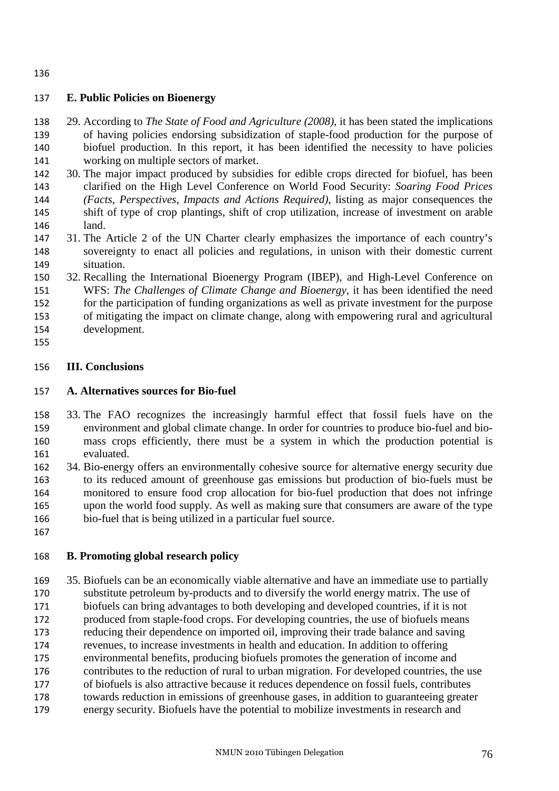### **E. Public Policies on Bioenergy**

- 29. According to *The State of Food and Agriculture (2008)*, it has been stated the implications of having policies endorsing subsidization of staple-food production for the purpose of biofuel production. In this report, it has been identified the necessity to have policies working on multiple sectors of market.
- 30. The major impact produced by subsidies for edible crops directed for biofuel, has been clarified on the High Level Conference on World Food Security: *Soaring Food Prices (Facts, Perspectives, Impacts and Actions Required)*, listing as major consequences the shift of type of crop plantings, shift of crop utilization, increase of investment on arable land.
- 31. The Article 2 of the UN Charter clearly emphasizes the importance of each country's sovereignty to enact all policies and regulations, in unison with their domestic current situation.
- 32. Recalling the International Bioenergy Program (IBEP), and High-Level Conference on WFS: *The Challenges of Climate Change and Bioenergy*, it has been identified the need for the participation of funding organizations as well as private investment for the purpose of mitigating the impact on climate change, along with empowering rural and agricultural development.
- 

### **III. Conclusions**

### **A. Alternatives sources for Bio-fuel**

- 33. The FAO recognizes the increasingly harmful effect that fossil fuels have on the environment and global climate change. In order for countries to produce bio-fuel and bio-mass crops efficiently, there must be a system in which the production potential is evaluated.
- 34. Bio-energy offers an environmentally cohesive source for alternative energy security due to its reduced amount of greenhouse gas emissions but production of bio-fuels must be monitored to ensure food crop allocation for bio-fuel production that does not infringe upon the world food supply. As well as making sure that consumers are aware of the type bio-fuel that is being utilized in a particular fuel source.
- 

# **B. Promoting global research policy**

35. Biofuels can be an economically viable alternative and have an immediate use to partially substitute petroleum by-products and to diversify the world energy matrix. The use of biofuels can bring advantages to both developing and developed countries, if it is not produced from staple-food crops. For developing countries, the use of biofuels means reducing their dependence on imported oil, improving their trade balance and saving revenues, to increase investments in health and education. In addition to offering environmental benefits, producing biofuels promotes the generation of income and contributes to the reduction of rural to urban migration. For developed countries, the use of biofuels is also attractive because it reduces dependence on fossil fuels, contributes towards reduction in emissions of greenhouse gases, in addition to guaranteeing greater energy security. Biofuels have the potential to mobilize investments in research and

####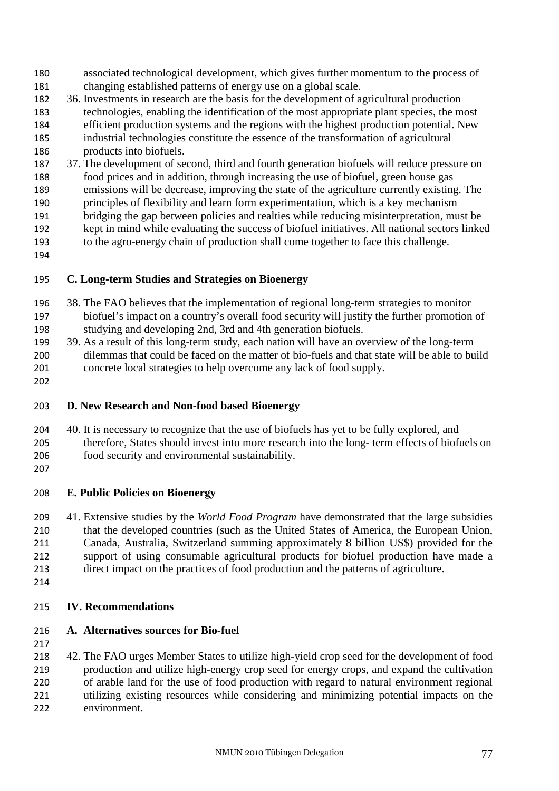- associated technological development, which gives further momentum to the process of changing established patterns of energy use on a global scale.
- 36. Investments in research are the basis for the development of agricultural production technologies, enabling the identification of the most appropriate plant species, the most efficient production systems and the regions with the highest production potential. New industrial technologies constitute the essence of the transformation of agricultural products into biofuels.
- 37. The development of second, third and fourth generation biofuels will reduce pressure on
- food prices and in addition, through increasing the use of biofuel, green house gas
- emissions will be decrease, improving the state of the agriculture currently existing. The
- principles of flexibility and learn form experimentation, which is a key mechanism
- bridging the gap between policies and realties while reducing misinterpretation, must be kept in mind while evaluating the success of biofuel initiatives. All national sectors linked
- to the agro-energy chain of production shall come together to face this challenge.
- 

# **C. Long-term Studies and Strategies on Bioenergy**

- 38. The FAO believes that the implementation of regional long-term strategies to monitor biofuel's impact on a country's overall food security will justify the further promotion of studying and developing 2nd, 3rd and 4th generation biofuels.
- 39. As a result of this long-term study, each nation will have an overview of the long-term dilemmas that could be faced on the matter of bio-fuels and that state will be able to build concrete local strategies to help overcome any lack of food supply.
- 

# **D. New Research and Non-food based Bioenergy**

- 40. It is necessary to recognize that the use of biofuels has yet to be fully explored, and therefore, States should invest into more research into the long- term effects of biofuels on
- food security and environmental sustainability.
- 

# **E. Public Policies on Bioenergy**

- 41. Extensive studies by the *World Food Program* have demonstrated that the large subsidies that the developed countries (such as the United States of America, the European Union, Canada, Australia, Switzerland summing approximately 8 billion US\$) provided for the support of using consumable agricultural products for biofuel production have made a direct impact on the practices of food production and the patterns of agriculture.
- 

# **IV. Recommendations**

# **A. Alternatives sources for Bio-fuel**

42. The FAO urges Member States to utilize high-yield crop seed for the development of food production and utilize high-energy crop seed for energy crops, and expand the cultivation of arable land for the use of food production with regard to natural environment regional utilizing existing resources while considering and minimizing potential impacts on the environment.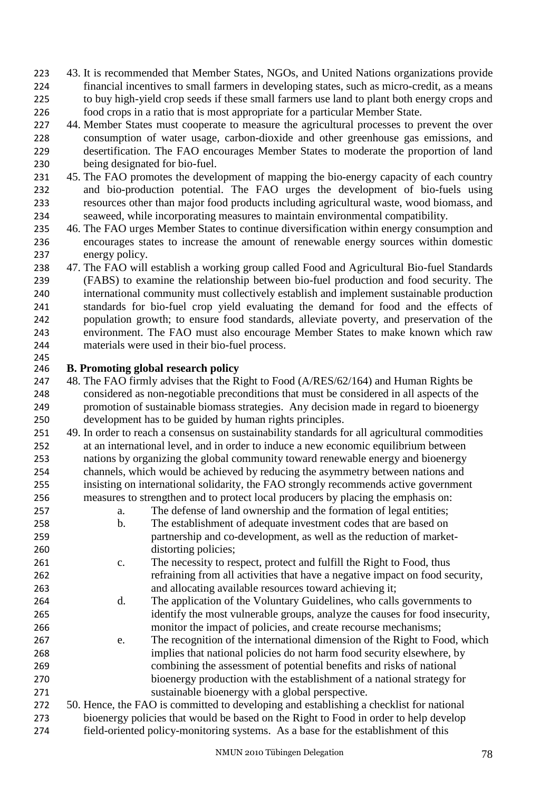- 43. It is recommended that Member States, NGOs, and United Nations organizations provide financial incentives to small farmers in developing states, such as micro-credit, as a means to buy high-yield crop seeds if these small farmers use land to plant both energy crops and food crops in a ratio that is most appropriate for a particular Member State.
- 227 44. Member States must cooperate to measure the agricultural processes to prevent the over consumption of water usage, carbon-dioxide and other greenhouse gas emissions, and desertification. The FAO encourages Member States to moderate the proportion of land being designated for bio-fuel.
- 45. The FAO promotes the development of mapping the bio-energy capacity of each country and bio-production potential. The FAO urges the development of bio-fuels using resources other than major food products including agricultural waste, wood biomass, and seaweed, while incorporating measures to maintain environmental compatibility.
- 46. The FAO urges Member States to continue diversification within energy consumption and encourages states to increase the amount of renewable energy sources within domestic energy policy.
- 47. The FAO will establish a working group called Food and Agricultural Bio-fuel Standards (FABS) to examine the relationship between bio-fuel production and food security. The international community must collectively establish and implement sustainable production standards for bio-fuel crop yield evaluating the demand for food and the effects of population growth; to ensure food standards, alleviate poverty, and preservation of the environment. The FAO must also encourage Member States to make known which raw materials were used in their bio-fuel process.

### **B. Promoting global research policy**

- 247 48. The FAO firmly advises that the Right to Food (A/RES/62/164) and Human Rights be considered as non-negotiable preconditions that must be considered in all aspects of the promotion of sustainable biomass strategies. Any decision made in regard to bioenergy development has to be guided by human rights principles.
- 49. In order to reach a consensus on sustainability standards for all agricultural commodities at an international level, and in order to induce a new economic equilibrium between nations by organizing the global community toward renewable energy and bioenergy channels, which would be achieved by reducing the asymmetry between nations and insisting on international solidarity, the FAO strongly recommends active government measures to strengthen and to protect local producers by placing the emphasis on:
- a. The defense of land ownership and the formation of legal entities;
- b. The establishment of adequate investment codes that are based on partnership and co-development, as well as the reduction of market-distorting policies;
- c. The necessity to respect, protect and fulfill the Right to Food, thus refraining from all activities that have a negative impact on food security, and allocating available resources toward achieving it;
- d. The application of the Voluntary Guidelines, who calls governments to identify the most vulnerable groups, analyze the causes for food insecurity, monitor the impact of policies, and create recourse mechanisms;
- e. The recognition of the international dimension of the Right to Food, which implies that national policies do not harm food security elsewhere, by combining the assessment of potential benefits and risks of national bioenergy production with the establishment of a national strategy for sustainable bioenergy with a global perspective.
- 50. Hence, the FAO is committed to developing and establishing a checklist for national bioenergy policies that would be based on the Right to Food in order to help develop field-oriented policy-monitoring systems. As a base for the establishment of this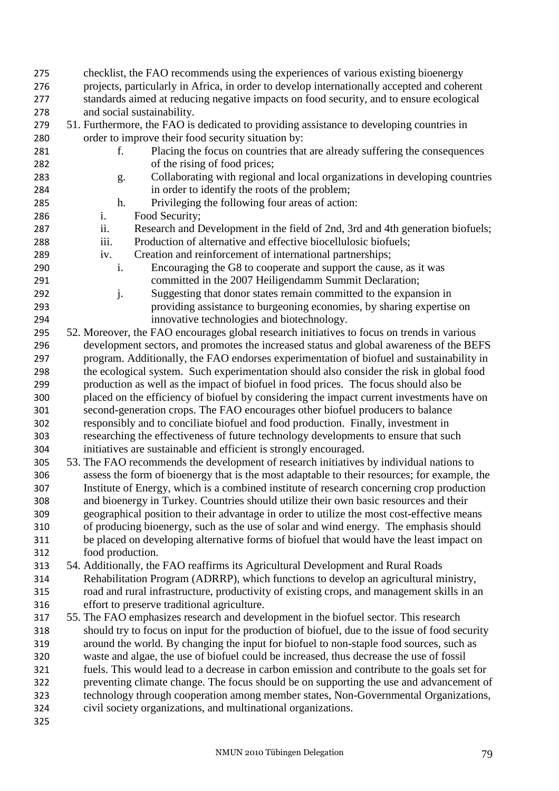- checklist, the FAO recommends using the experiences of various existing bioenergy
- projects, particularly in Africa, in order to develop internationally accepted and coherent standards aimed at reducing negative impacts on food security, and to ensure ecological
- and social sustainability.
- 51. Furthermore, the FAO is dedicated to providing assistance to developing countries in order to improve their food security situation by:
	-
- f. Placing the focus on countries that are already suffering the consequences of the rising of food prices;
- g. Collaborating with regional and local organizations in developing countries in order to identify the roots of the problem;
- h. Privileging the following four areas of action:
- i. Food Security;
- ii. Research and Development in the field of 2nd, 3rd and 4th generation biofuels;
- iii. Production of alternative and effective biocellulosic biofuels;
- iv. Creation and reinforcement of international partnerships;
- i. Encouraging the G8 to cooperate and support the cause, as it was committed in the 2007 Heiligendamm Summit Declaration;
- j. Suggesting that donor states remain committed to the expansion in providing assistance to burgeoning economies, by sharing expertise on innovative technologies and biotechnology.
- 52. Moreover, the FAO encourages global research initiatives to focus on trends in various development sectors, and promotes the increased status and global awareness of the BEFS program. Additionally, the FAO endorses experimentation of biofuel and sustainability in the ecological system. Such experimentation should also consider the risk in global food production as well as the impact of biofuel in food prices. The focus should also be placed on the efficiency of biofuel by considering the impact current investments have on second-generation crops. The FAO encourages other biofuel producers to balance responsibly and to conciliate biofuel and food production. Finally, investment in researching the effectiveness of future technology developments to ensure that such initiatives are sustainable and efficient is strongly encouraged.
- 53. The FAO recommends the development of research initiatives by individual nations to assess the form of bioenergy that is the most adaptable to their resources; for example, the Institute of Energy, which is a combined institute of research concerning crop production and bioenergy in Turkey. Countries should utilize their own basic resources and their geographical position to their advantage in order to utilize the most cost-effective means of producing bioenergy, such as the use of solar and wind energy. The emphasis should be placed on developing alternative forms of biofuel that would have the least impact on food production.
- 54. Additionally, the FAO reaffirms its Agricultural Development and Rural Roads Rehabilitation Program (ADRRP), which functions to develop an agricultural ministry, road and rural infrastructure, productivity of existing crops, and management skills in an effort to preserve traditional agriculture.
- 55. The FAO emphasizes research and development in the biofuel sector. This research should try to focus on input for the production of biofuel, due to the issue of food security around the world. By changing the input for biofuel to non-staple food sources, such as waste and algae, the use of biofuel could be increased, thus decrease the use of fossil fuels. This would lead to a decrease in carbon emission and contribute to the goals set for preventing climate change. The focus should be on supporting the use and advancement of technology through cooperation among member states, Non-Governmental Organizations, civil society organizations, and multinational organizations.